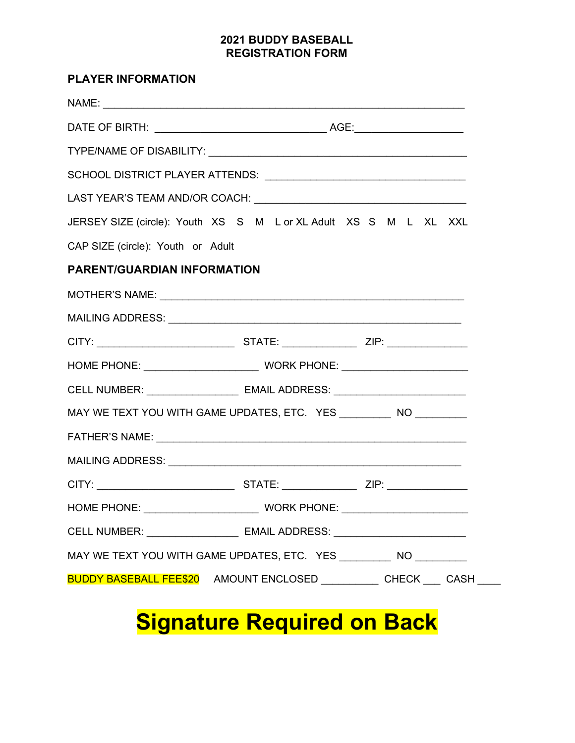## **2021 BUDDY BASEBALL REGISTRATION FORM**

| <b>PLAYER INFORMATION</b>         |                                                                                  |  |
|-----------------------------------|----------------------------------------------------------------------------------|--|
|                                   |                                                                                  |  |
|                                   |                                                                                  |  |
|                                   |                                                                                  |  |
|                                   |                                                                                  |  |
|                                   |                                                                                  |  |
|                                   | JERSEY SIZE (circle): Youth XS S M L or XL Adult XS S M L XL XXL                 |  |
| CAP SIZE (circle): Youth or Adult |                                                                                  |  |
| PARENT/GUARDIAN INFORMATION       |                                                                                  |  |
|                                   |                                                                                  |  |
|                                   |                                                                                  |  |
|                                   |                                                                                  |  |
|                                   |                                                                                  |  |
|                                   | CELL NUMBER: ________________________ EMAIL ADDRESS: ___________________________ |  |
|                                   | MAY WE TEXT YOU WITH GAME UPDATES, ETC. YES __________ NO _________              |  |
|                                   |                                                                                  |  |
|                                   |                                                                                  |  |
|                                   |                                                                                  |  |
|                                   |                                                                                  |  |
|                                   | CELL NUMBER: ________________________ EMAIL ADDRESS: ___________________________ |  |
|                                   | MAY WE TEXT YOU WITH GAME UPDATES, ETC. YES _________ NO ________                |  |
|                                   | BUDDY BASEBALL FEE\$20 AMOUNT ENCLOSED ___________CHECK ____ CASH                |  |

## **Signature Required on Back**